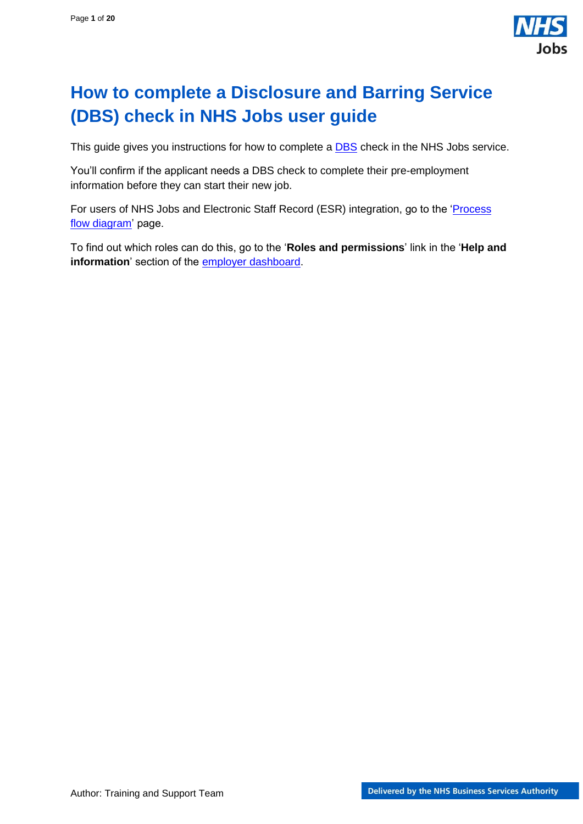

# <span id="page-0-0"></span>**How to complete a Disclosure and Barring Service (DBS) check in NHS Jobs user guide**

This guide gives you instructions for how to complete a **DBS** check in the NHS Jobs service.

You'll confirm if the applicant needs a DBS check to complete their pre-employment information before they can start their new job.

For users of NHS Jobs and Electronic Staff Record (ESR) integration, go to the ['Process](#page-2-0)  [flow diagram'](#page-2-0) page.

To find out which roles can do this, go to the '**Roles and permissions**' link in the '**Help and information**' section of the [employer dashboard.](https://beta.jobs.nhs.uk/home)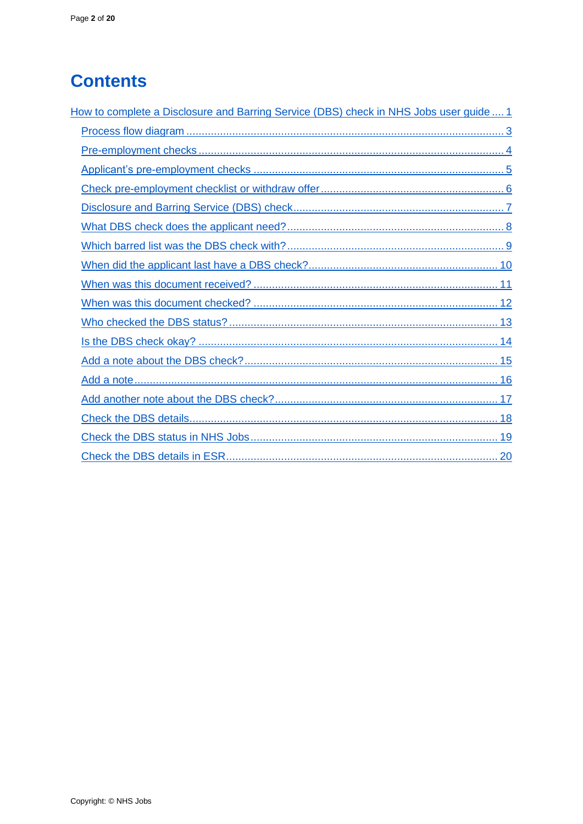# **Contents**

| How to complete a Disclosure and Barring Service (DBS) check in NHS Jobs user guide  1 |
|----------------------------------------------------------------------------------------|
|                                                                                        |
|                                                                                        |
|                                                                                        |
|                                                                                        |
|                                                                                        |
|                                                                                        |
|                                                                                        |
|                                                                                        |
|                                                                                        |
|                                                                                        |
|                                                                                        |
|                                                                                        |
|                                                                                        |
|                                                                                        |
|                                                                                        |
|                                                                                        |
|                                                                                        |
|                                                                                        |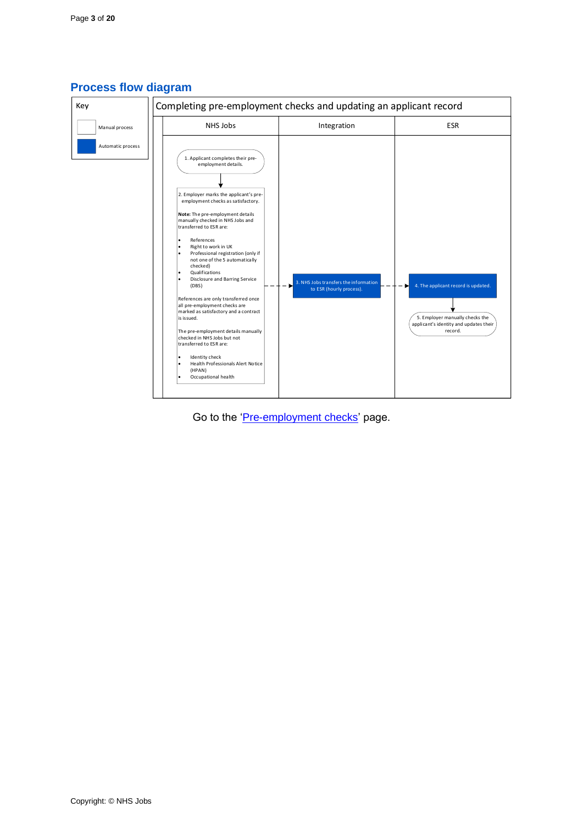

## <span id="page-2-0"></span>**Process flow diagram**

Go to the ['Pre-employment checks'](#page-3-0) page.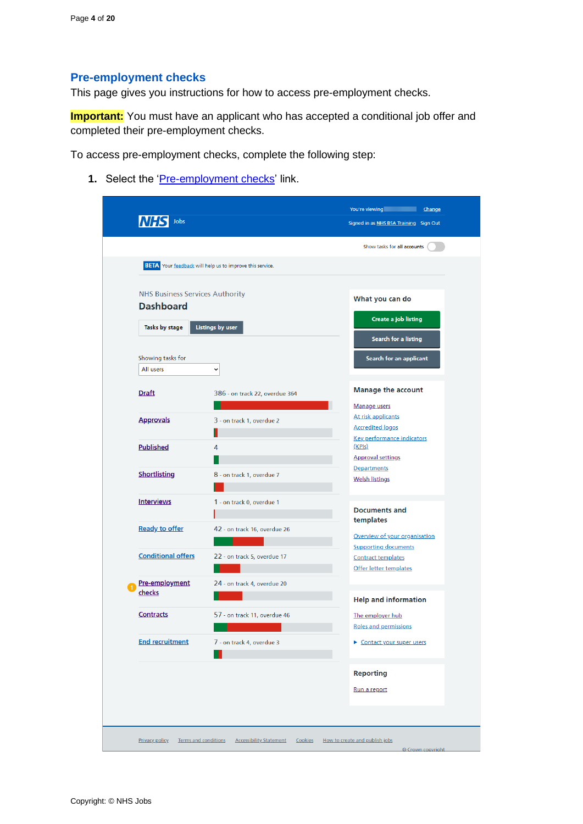## <span id="page-3-0"></span>**Pre-employment checks**

This page gives you instructions for how to access pre-employment checks.

**Important:** You must have an applicant who has accepted a conditional job offer and completed their pre-employment checks.

To access pre-employment checks, complete the following step:

1. Select the ['Pre-employment checks'](#page-4-0) link.

|                                                            |                                                                 | Show tasks for all accounts                                                        |
|------------------------------------------------------------|-----------------------------------------------------------------|------------------------------------------------------------------------------------|
|                                                            | <b>BETA</b> Your feedback will help us to improve this service. |                                                                                    |
| <b>NHS Business Services Authority</b><br><b>Dashboard</b> |                                                                 | What you can do                                                                    |
|                                                            |                                                                 | Create a job listing                                                               |
| Tasks by stage                                             | <b>Listings by user</b>                                         | Search for a listing                                                               |
| Showing tasks for                                          |                                                                 | Search for an applicant                                                            |
| All users                                                  | $\check{~}$                                                     |                                                                                    |
| <b>Draft</b>                                               | 386 - on track 22, overdue 364                                  | <b>Manage the account</b>                                                          |
| <b>Approvals</b>                                           | 3 - on track 1, overdue 2                                       | Manage users<br>At risk applicants                                                 |
| <b>Published</b>                                           | 4                                                               | <b>Accredited logos</b><br><b>Key performance indicators</b><br>(KPIs)             |
|                                                            |                                                                 | <b>Approval settings</b>                                                           |
| <b>Shortlisting</b>                                        | 8 - on track 1, overdue 7                                       | Departments<br><b>Welsh listings</b>                                               |
| <b>Interviews</b>                                          | 1 - on track 0, overdue 1                                       | <b>Documents and</b>                                                               |
| <b>Ready to offer</b>                                      | 42 - on track 16, overdue 26                                    | templates<br>Overview of your organisation                                         |
| <b>Conditional offers</b>                                  | 22 - on track 5, overdue 17                                     | <b>Supporting documents</b><br><b>Contract templates</b><br>Offer letter templates |
| Pre-employment<br>checks                                   | 24 - on track 4, overdue 20                                     |                                                                                    |
|                                                            |                                                                 | <b>Help and information</b>                                                        |
| <b>Contracts</b>                                           | 57 - on track 11, overdue 46                                    | The employer hub<br>Roles and permissions                                          |
| <b>End recruitment</b>                                     | 7 - on track 4, overdue 3                                       | Contact your super users                                                           |
|                                                            |                                                                 | <b>Reporting</b>                                                                   |
|                                                            |                                                                 | Run a report                                                                       |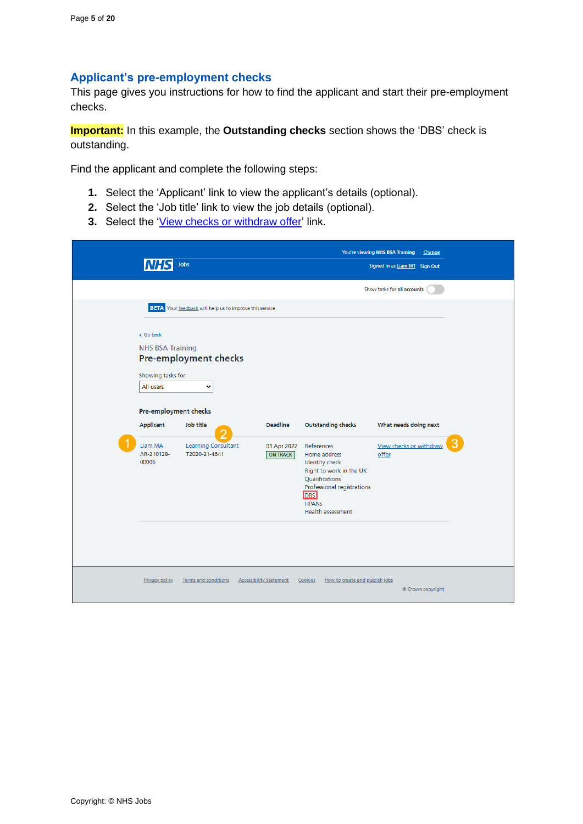### <span id="page-4-0"></span>**Applicant's pre-employment checks**

This page gives you instructions for how to find the applicant and start their pre-employment checks.

**Important:** In this example, the **Outstanding checks** section shows the 'DBS' check is outstanding.

Find the applicant and complete the following steps:

- **1.** Select the 'Applicant' link to view the applicant's details (optional).
- **2.** Select the 'Job title' link to view the job details (optional).
- **3.** Select the ['View checks or withdraw offer'](#page-5-0) link.

|                                                                        | Jobs                                                     |                                |                                                                                                                                                                                          | You're viewing NHS BSA Training<br>Change<br>Signed in as Liam M1 Sign Out |   |
|------------------------------------------------------------------------|----------------------------------------------------------|--------------------------------|------------------------------------------------------------------------------------------------------------------------------------------------------------------------------------------|----------------------------------------------------------------------------|---|
|                                                                        |                                                          |                                |                                                                                                                                                                                          | Show tasks for all accounts                                                |   |
|                                                                        | BETA Your feedback will help us to improve this service. |                                |                                                                                                                                                                                          |                                                                            |   |
| < Go back<br><b>NHS BSA Training</b><br>Showing tasks for<br>All users | Pre-employment checks<br>v                               |                                |                                                                                                                                                                                          |                                                                            |   |
| Pre-employment checks                                                  |                                                          |                                |                                                                                                                                                                                          |                                                                            |   |
| Applicant                                                              | Job title                                                | <b>Deadline</b>                | <b>Outstanding checks</b>                                                                                                                                                                | What needs doing next                                                      |   |
| Liam MA<br>AR-210128-<br>00006                                         | <b>Learning Consultant</b><br>T2020-21-4641              | 01 Apr 2022<br><b>ON TRACK</b> | References<br>Home address<br><b>Identity check</b><br>Right to work in the UK<br>Qualifications<br>Professional registrations<br><b>DBS</b><br><b>HPANS</b><br><b>Health assessment</b> | View checks or withdraw<br>offer                                           | G |
| Privacy policy                                                         | Terms and conditions                                     | <b>Accessibility Statement</b> | How to create and publish jobs<br>Cookies                                                                                                                                                | © Crown copyright                                                          |   |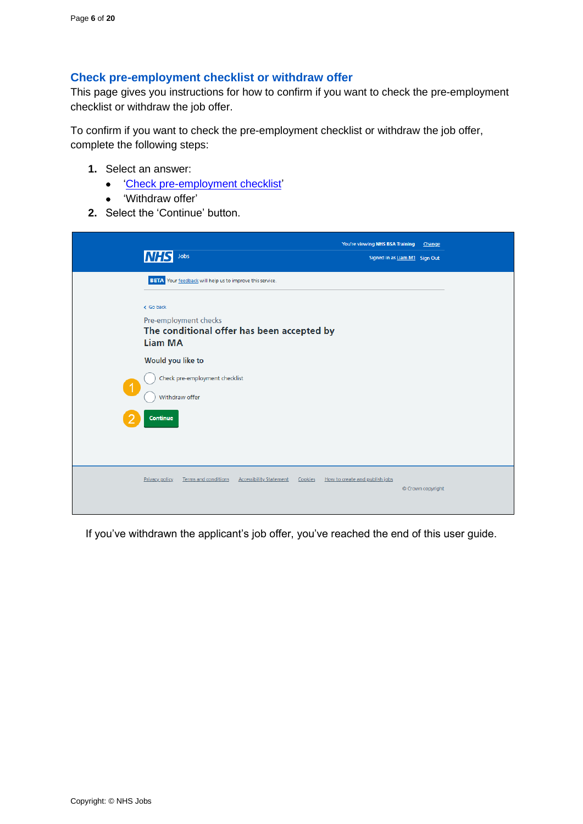#### <span id="page-5-0"></span>**Check pre-employment checklist or withdraw offer**

This page gives you instructions for how to confirm if you want to check the pre-employment checklist or withdraw the job offer.

To confirm if you want to check the pre-employment checklist or withdraw the job offer, complete the following steps:

- **1.** Select an answer:
	- ['Check pre-employment checklist'](#page-6-0)
	- 'Withdraw offer'
- **2.** Select the 'Continue' button.

| Jobs<br><b>NHS</b>                                                                                 | You're viewing NHS BSA Training<br>Change<br>Signed in as Liam M1 Sign Out |
|----------------------------------------------------------------------------------------------------|----------------------------------------------------------------------------|
| BETA Your feedback will help us to improve this service.                                           |                                                                            |
| < Go back<br>Pre-employment checks<br>The conditional offer has been accepted by<br><b>Liam MA</b> |                                                                            |
| Would you like to<br>Check pre-employment checklist<br>$\blacktriangleleft$<br>Withdraw offer      |                                                                            |
| Continue                                                                                           |                                                                            |
| <b>Terms and conditions</b><br><b>Accessibility Statement</b><br>Privacy policy<br>Cookies         | How to create and publish jobs<br>© Crown copyright                        |

If you've withdrawn the applicant's job offer, you've reached the end of this user guide.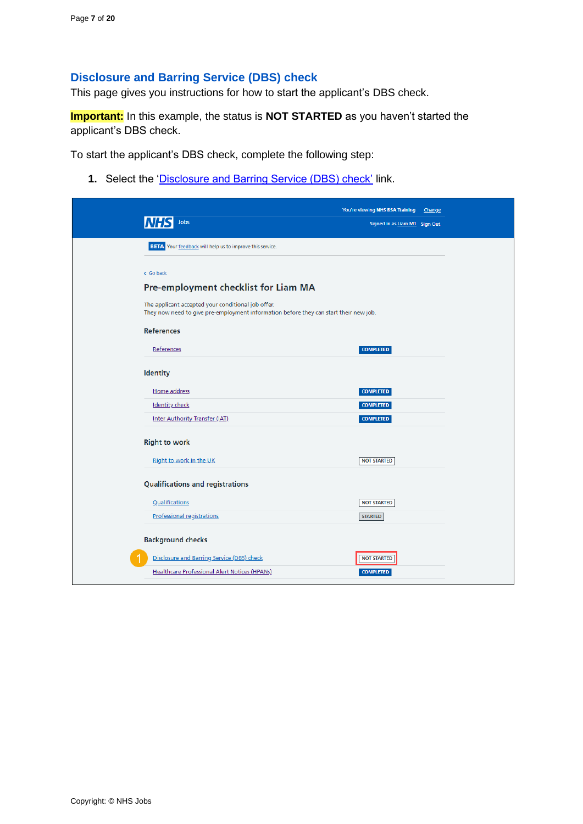## <span id="page-6-0"></span>**Disclosure and Barring Service (DBS) check**

This page gives you instructions for how to start the applicant's DBS check.

**Important:** In this example, the status is **NOT STARTED** as you haven't started the applicant's DBS check.

To start the applicant's DBS check, complete the following step:

1. Select the ['Disclosure and Barring Service \(DBS\) check'](#page-7-0) link.

| Jobs<br>Signed in as Liam M1 Sign Out<br><b>BETA</b> Your feedback will help us to improve this service.<br>< Go back<br>Pre-employment checklist for Liam MA<br>The applicant accepted your conditional job offer.<br>They now need to give pre-employment information before they can start their new job.<br><b>References</b> |
|-----------------------------------------------------------------------------------------------------------------------------------------------------------------------------------------------------------------------------------------------------------------------------------------------------------------------------------|
|                                                                                                                                                                                                                                                                                                                                   |
|                                                                                                                                                                                                                                                                                                                                   |
|                                                                                                                                                                                                                                                                                                                                   |
|                                                                                                                                                                                                                                                                                                                                   |
|                                                                                                                                                                                                                                                                                                                                   |
|                                                                                                                                                                                                                                                                                                                                   |
|                                                                                                                                                                                                                                                                                                                                   |
| <b>COMPLETED</b><br>References                                                                                                                                                                                                                                                                                                    |
| Identity                                                                                                                                                                                                                                                                                                                          |
| Home address<br><b>COMPLETED</b>                                                                                                                                                                                                                                                                                                  |
| <b>Identity check</b><br><b>COMPLETED</b>                                                                                                                                                                                                                                                                                         |
| <b>Inter Authority Transfer (IAT)</b><br><b>COMPLETED</b>                                                                                                                                                                                                                                                                         |
| <b>Right to work</b>                                                                                                                                                                                                                                                                                                              |
| Right to work in the UK<br><b>NOT STARTED</b>                                                                                                                                                                                                                                                                                     |
| <b>Qualifications and registrations</b>                                                                                                                                                                                                                                                                                           |
| Qualifications<br><b>NOT STARTED</b>                                                                                                                                                                                                                                                                                              |
| <b>Professional registrations</b><br><b>STARTED</b>                                                                                                                                                                                                                                                                               |
| <b>Background checks</b>                                                                                                                                                                                                                                                                                                          |
| Disclosure and Barring Service (DBS) check<br><b>NOT STARTED</b>                                                                                                                                                                                                                                                                  |
| <b>Healthcare Professional Alert Notices (HPANs)</b><br><b>COMPLETED</b>                                                                                                                                                                                                                                                          |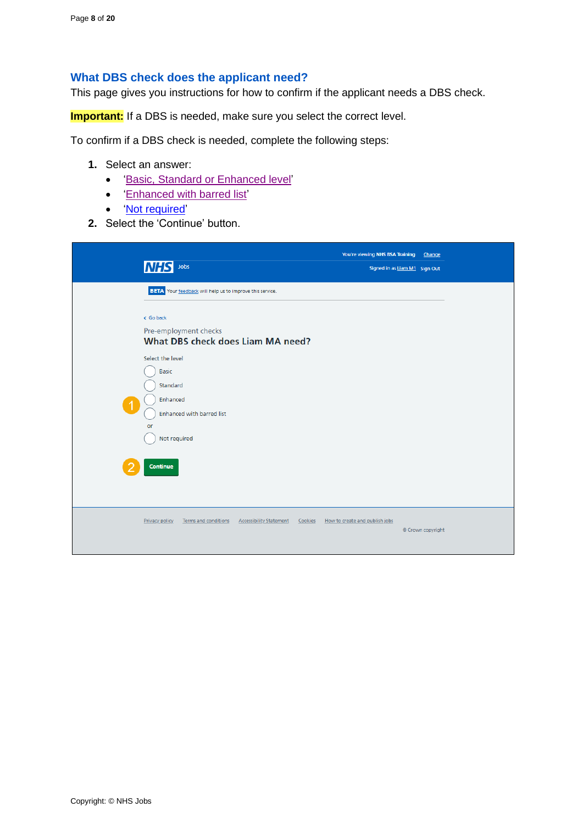#### <span id="page-7-0"></span>**What DBS check does the applicant need?**

This page gives you instructions for how to confirm if the applicant needs a DBS check.

**Important:** If a DBS is needed, make sure you select the correct level.

To confirm if a DBS check is needed, complete the following steps:

- **1.** Select an answer:
	- ['Basic, Standard or Enhanced](#page-9-0) level'
	- ['Enhanced with barred list'](#page-8-0)
	- ['Not required'](#page-18-0)
- **2.** Select the 'Continue' button.

| <b>NHS</b> Jobs                                                                                                                 | You're viewing NHS BSA Training<br>Signed in as Liam M1 Sign Out | Change |
|---------------------------------------------------------------------------------------------------------------------------------|------------------------------------------------------------------|--------|
| <b>BETA</b> Your feedback will help us to improve this service.                                                                 |                                                                  |        |
| < Go back<br>Pre-employment checks<br>What DBS check does Liam MA need?                                                         |                                                                  |        |
| Select the level<br>Basic<br>Standard<br>Enhanced<br>$\mathbf 1$<br>Enhanced with barred list<br>or<br>Not required<br>Continue |                                                                  |        |
|                                                                                                                                 |                                                                  |        |
| <b>Accessibility Statement</b><br><b>Privacy policy</b><br>Terms and conditions<br>Cookies                                      | How to create and publish jobs<br>© Crown copyright              |        |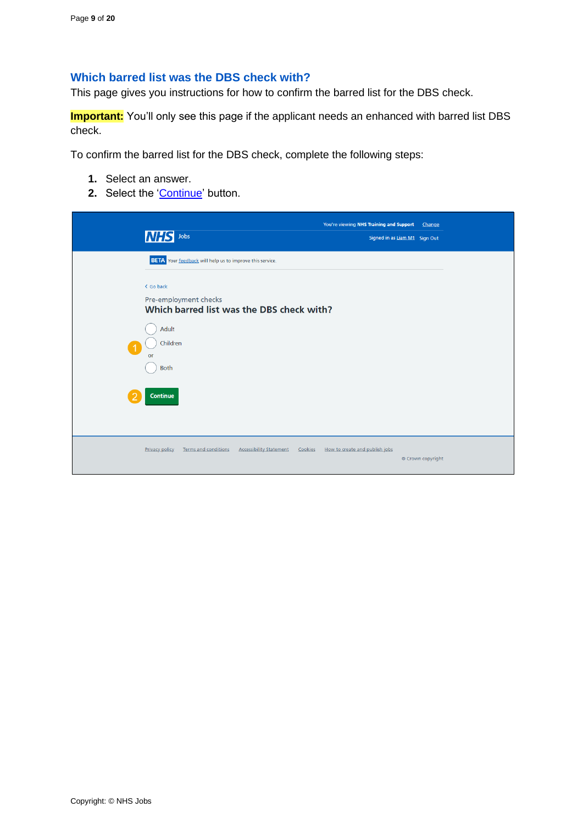## <span id="page-8-0"></span>**Which barred list was the DBS check with?**

This page gives you instructions for how to confirm the barred list for the DBS check.

**Important:** You'll only see this page if the applicant needs an enhanced with barred list DBS check.

To confirm the barred list for the DBS check, complete the following steps:

- **1.** Select an answer.
- 2. Select the ['Continue'](#page-9-0) button.

| <b>INHS</b><br>Jobs                                                                               | You're viewing NHS Training and Support<br>Change<br>Signed in as Liam M1 Sign Out |
|---------------------------------------------------------------------------------------------------|------------------------------------------------------------------------------------|
| <b>BETA</b> Your feedback will help us to improve this service.                                   |                                                                                    |
| < Go back<br>Pre-employment checks<br>Which barred list was the DBS check with?                   |                                                                                    |
| Adult<br>Children<br>or                                                                           |                                                                                    |
| <b>Both</b><br><b>Continue</b>                                                                    |                                                                                    |
|                                                                                                   |                                                                                    |
| <b>Terms and conditions</b><br><b>Accessibility Statement</b><br>Cookies<br><b>Privacy policy</b> | How to create and publish jobs<br>© Crown copyright                                |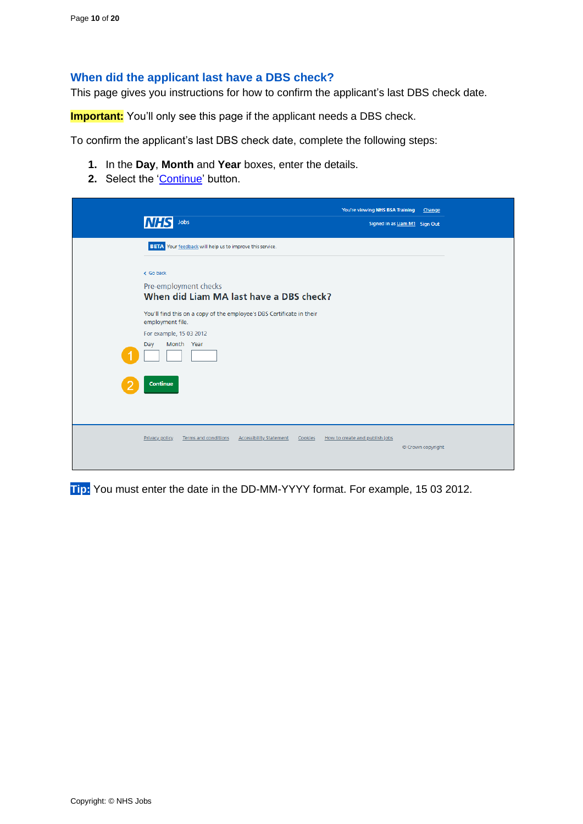#### <span id="page-9-0"></span>**When did the applicant last have a DBS check?**

This page gives you instructions for how to confirm the applicant's last DBS check date.

**Important:** You'll only see this page if the applicant needs a DBS check.

To confirm the applicant's last DBS check date, complete the following steps:

- **1.** In the **Day**, **Month** and **Year** boxes, enter the details.
- 2. Select the ['Continue'](#page-10-0) button.

| Jobs<br><b>INH:</b>                                                                                                                       | You're viewing NHS BSA Training<br>Change<br>Signed in as Liam M1 Sign Out |
|-------------------------------------------------------------------------------------------------------------------------------------------|----------------------------------------------------------------------------|
| <b>BETA</b> Your feedback will help us to improve this service.                                                                           |                                                                            |
| < Go back<br>Pre-employment checks<br>When did Liam MA last have a DBS check?                                                             |                                                                            |
| You'll find this on a copy of the employee's DBS Certificate in their<br>employment file.<br>For example, 15 03 2012<br>Month Year<br>Day |                                                                            |
| Continue                                                                                                                                  |                                                                            |
| Terms and conditions<br><b>Accessibility Statement</b><br>Privacy policy<br>Cookies                                                       | How to create and publish jobs<br>© Crown copyright                        |

**Tip:** You must enter the date in the DD-MM-YYYY format. For example, 15 03 2012.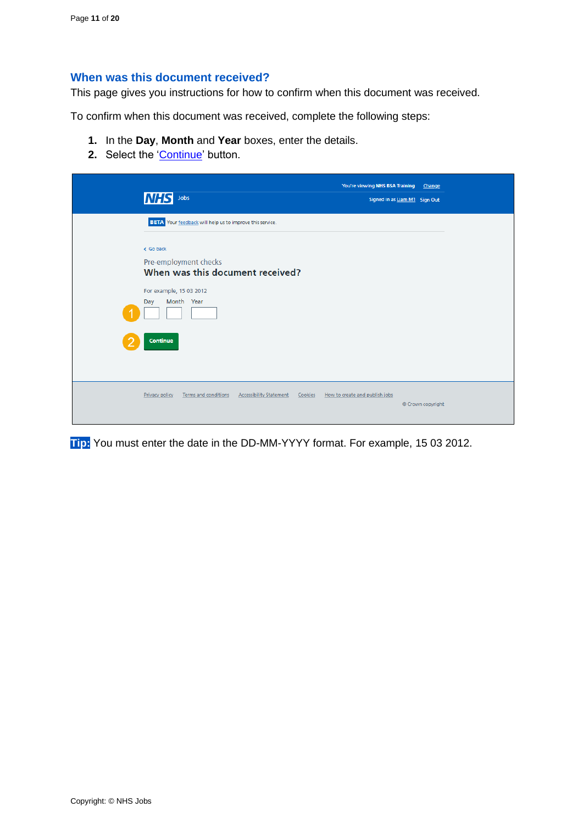#### <span id="page-10-0"></span>**When was this document received?**

This page gives you instructions for how to confirm when this document was received.

To confirm when this document was received, complete the following steps:

- **1.** In the **Day**, **Month** and **Year** boxes, enter the details.
- 2. Select the ['Continue'](#page-11-0) button.

| lΝH<br>Jobs                                                                                                                                                |                                  | You're viewing NHS BSA Training Change    | Signed in as Liam M1 Sign Out |
|------------------------------------------------------------------------------------------------------------------------------------------------------------|----------------------------------|-------------------------------------------|-------------------------------|
| BETA Your feedback will help us to improve this service.<br>< Go back<br>Pre-employment checks<br>For example, 15 03 2012<br>Month Year<br>Day<br>Continue | When was this document received? |                                           |                               |
| Privacy policy<br><b>Terms and conditions</b>                                                                                                              | <b>Accessibility Statement</b>   | How to create and publish jobs<br>Cookies | © Crown copyright             |

**Tip:** You must enter the date in the DD-MM-YYYY format. For example, 15 03 2012.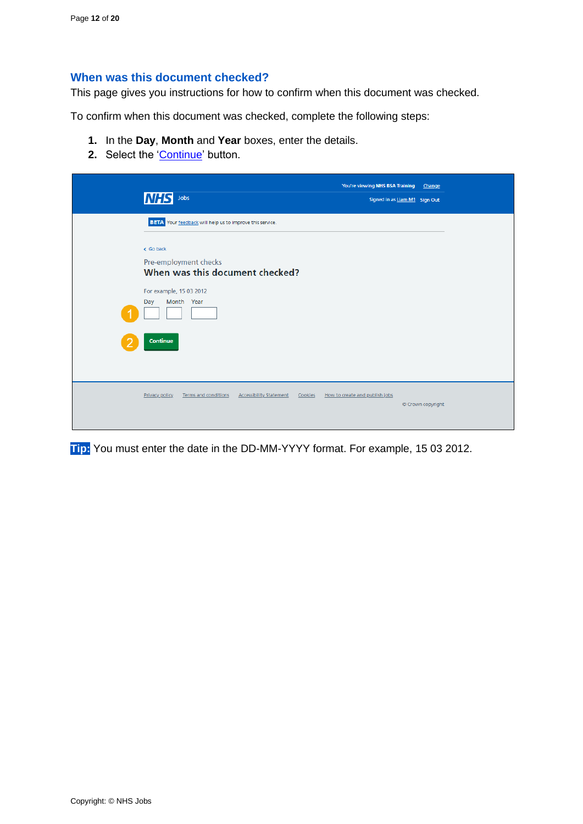#### <span id="page-11-0"></span>**When was this document checked?**

This page gives you instructions for how to confirm when this document was checked.

To confirm when this document was checked, complete the following steps:

- **1.** In the **Day**, **Month** and **Year** boxes, enter the details.
- 2. Select the ['Continue'](#page-12-0) button.

| <b>NH</b><br>Jobs<br>Signed in as Liam M1 Sign Out                                                                                                                                                   | You're viewing NHS BSA Training Change |
|------------------------------------------------------------------------------------------------------------------------------------------------------------------------------------------------------|----------------------------------------|
| <b>BETA</b> Your feedback will help us to improve this service.<br>< Go back<br>Pre-employment checks<br>When was this document checked?<br>For example, 15 03 2012<br>Month Year<br>Day<br>Continue |                                        |
| Privacy policy<br>Terms and conditions<br><b>Accessibility Statement</b><br>Cookies<br>How to create and publish jobs                                                                                | © Crown copyright                      |

**Tip:** You must enter the date in the DD-MM-YYYY format. For example, 15 03 2012.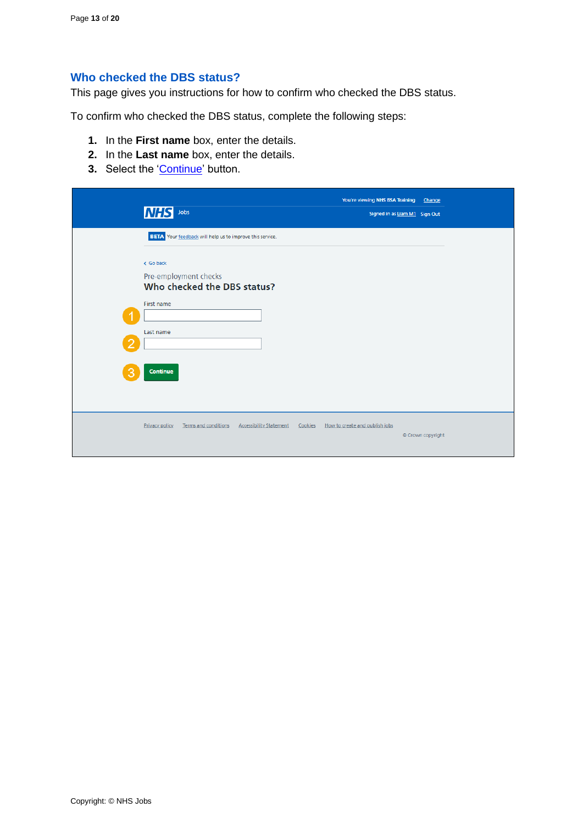#### <span id="page-12-0"></span>**Who checked the DBS status?**

This page gives you instructions for how to confirm who checked the DBS status.

To confirm who checked the DBS status, complete the following steps:

- **1.** In the **First name** box, enter the details.
- **2.** In the **Last name** box, enter the details.
- **3.** Select the ['Continue'](#page-13-0) button.

|        | <b>NHS</b><br>Jobs                                                                                       | You're viewing NHS BSA Training<br>Signed in as Liam M1 Sign Out | Change            |
|--------|----------------------------------------------------------------------------------------------------------|------------------------------------------------------------------|-------------------|
|        | <b>BETA</b> Your feedback will help us to improve this service.                                          |                                                                  |                   |
| o<br>3 | < Go back<br>Pre-employment checks<br>Who checked the DBS status?<br>First name<br>Last name<br>Continue |                                                                  |                   |
|        | Terms and conditions<br><b>Accessibility Statement</b><br>Privacy policy                                 | How to create and publish jobs<br>Cookies                        | © Crown copyright |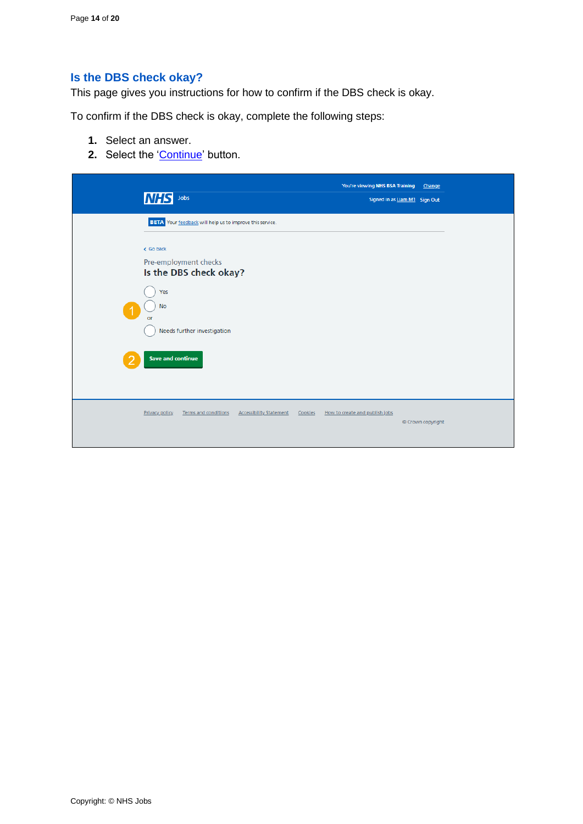## <span id="page-13-0"></span>**Is the DBS check okay?**

This page gives you instructions for how to confirm if the DBS check is okay.

To confirm if the DBS check is okay, complete the following steps:

- **1.** Select an answer.
- **2.** Select the ['Continue'](#page-14-0) button.

| <b>NHS</b><br>Jobs                                                                                                                                                                                            | You're viewing NHS BSA Training<br>Signed in as Liam M1 Sign Out | Change            |
|---------------------------------------------------------------------------------------------------------------------------------------------------------------------------------------------------------------|------------------------------------------------------------------|-------------------|
| BETA Your feedback will help us to improve this service.<br>< Go back<br>Pre-employment checks<br>Is the DBS check okay?<br>Yes<br><b>No</b><br>or<br>Needs further investigation<br><b>Save and continue</b> |                                                                  |                   |
| <b>Privacy policy</b><br>Terms and conditions<br><b>Accessibility Statement</b>                                                                                                                               | How to create and publish jobs<br>Cookies                        | © Crown copyright |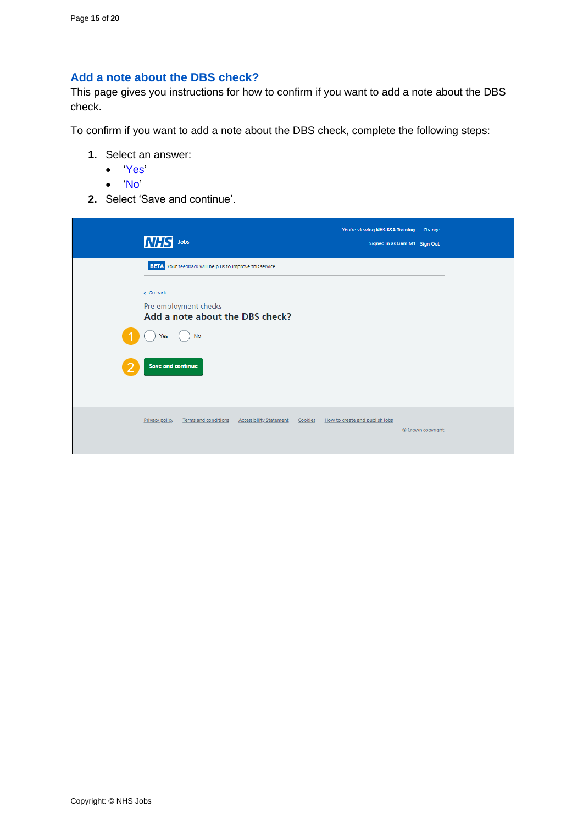## <span id="page-14-0"></span>**Add a note about the DBS check?**

This page gives you instructions for how to confirm if you want to add a note about the DBS check.

To confirm if you want to add a note about the DBS check, complete the following steps:

- **1.** Select an answer:
	- ['Yes'](#page-15-0)
	- ['No'](#page-17-0)
- **2.** Select 'Save and continue'.

| <b>INHS</b>              | Jobs                                                     |         | You're viewing NHS BSA Training<br>Signed in as Liam M1 Sign Out | Change            |
|--------------------------|----------------------------------------------------------|---------|------------------------------------------------------------------|-------------------|
|                          | BETA Your feedback will help us to improve this service. |         |                                                                  |                   |
| < Go back                |                                                          |         |                                                                  |                   |
|                          | Pre-employment checks<br>Add a note about the DBS check? |         |                                                                  |                   |
| Yes                      | <b>No</b>                                                |         |                                                                  |                   |
| <b>Save and continue</b> |                                                          |         |                                                                  |                   |
| Privacy policy           | Terms and conditions<br><b>Accessibility Statement</b>   | Cookies | How to create and publish jobs                                   | © Crown copyright |
|                          |                                                          |         |                                                                  |                   |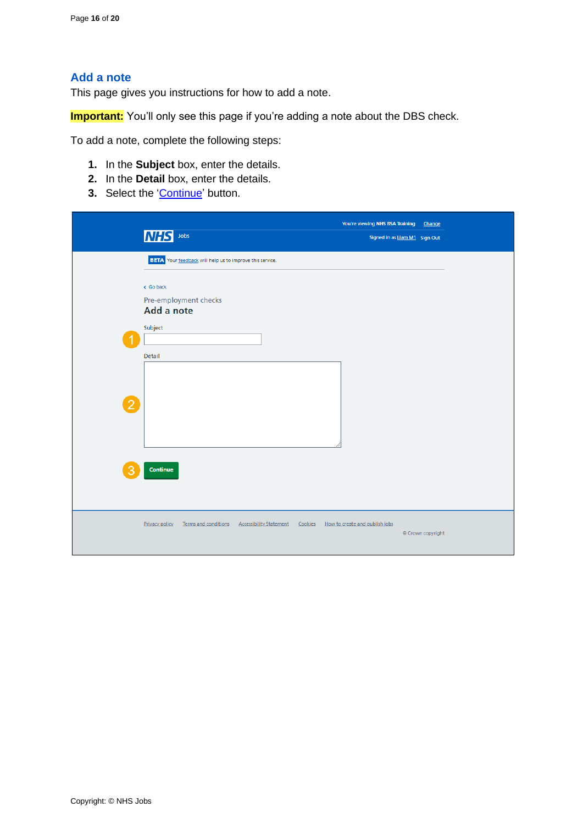## <span id="page-15-0"></span>**Add a note**

This page gives you instructions for how to add a note.

**Important:** You'll only see this page if you're adding a note about the DBS check.

To add a note, complete the following steps:

- **1.** In the **Subject** box, enter the details.
- **2.** In the **Detail** box, enter the details.
- **3.** Select the ['Continue'](#page-16-0) button.

|                | MHS Jobs                                                                                                                                 | You're viewing NHS BSA Training<br>Signed in as Liam M1 Sign Out | Change            |
|----------------|------------------------------------------------------------------------------------------------------------------------------------------|------------------------------------------------------------------|-------------------|
| $\overline{2}$ | <b>BETA</b> Your feedback will help us to improve this service.<br>< Go back<br>Pre-employment checks<br>Add a note<br>Subject<br>Detail |                                                                  |                   |
|                | Continue<br>Privacy policy<br>Terms and conditions<br><b>Accessibility Statement</b><br>Cookies                                          | How to create and publish jobs                                   | © Crown copyright |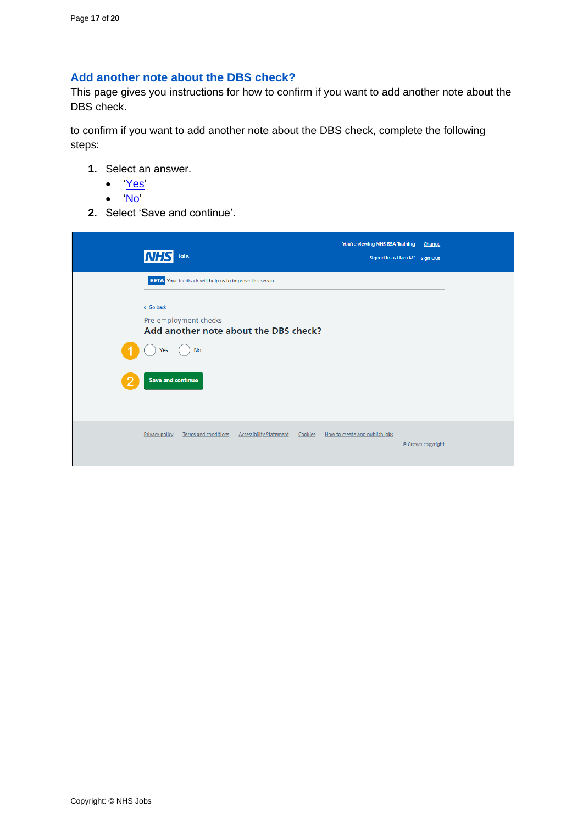### <span id="page-16-0"></span>**Add another note about the DBS check?**

This page gives you instructions for how to confirm if you want to add another note about the DBS check.

to confirm if you want to add another note about the DBS check, complete the following steps:

- **1.** Select an answer.
	- ['Yes'](#page-15-0)
	- ['No'](#page-17-0)
- **2.** Select 'Save and continue'.

| <b>NHS</b><br>Jobs                                              |                                           | You're viewing NHS BSA Training<br>Signed in as Liam M1 Sign Out | Change            |
|-----------------------------------------------------------------|-------------------------------------------|------------------------------------------------------------------|-------------------|
| <b>BETA</b> Your feedback will help us to improve this service. |                                           |                                                                  |                   |
| < Go back                                                       |                                           |                                                                  |                   |
| Pre-employment checks<br>Add another note about the DBS check?  |                                           |                                                                  |                   |
| <b>No</b><br>Yes                                                |                                           |                                                                  |                   |
| <b>Save and continue</b>                                        |                                           |                                                                  |                   |
|                                                                 |                                           |                                                                  |                   |
| Terms and conditions<br>Privacy policy                          | <b>Accessibility Statement</b><br>Cookies | How to create and publish jobs                                   |                   |
|                                                                 |                                           |                                                                  | © Crown copyright |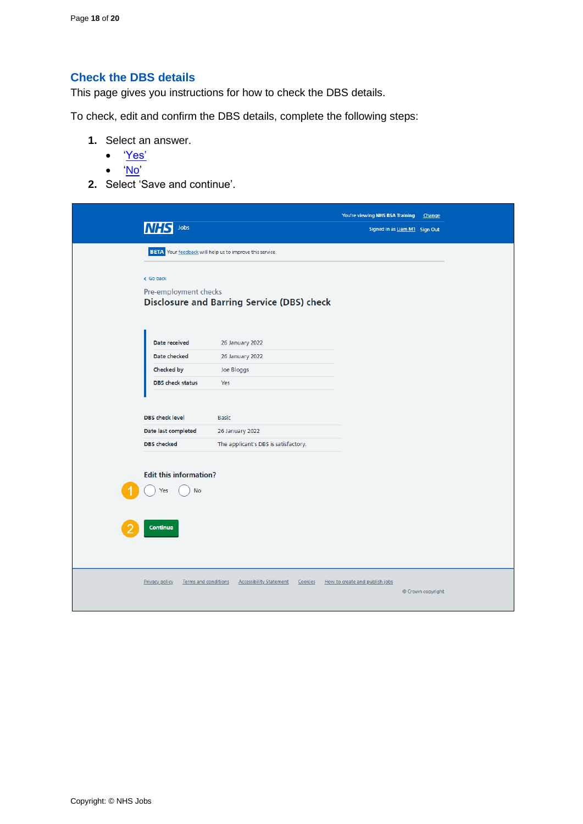## <span id="page-17-0"></span>**Check the DBS details**

This page gives you instructions for how to check the DBS details.

To check, edit and confirm the DBS details, complete the following steps:

- **1.** Select an answer.
	- ['Yes'](#page-7-0)
	- ['No'](#page-18-0)
- **2.** Select 'Save and continue'.

| Jobs<br>INF<br><b>BETA</b> Your feedback will help us to improve this service. |                                                                         | You're viewing NHS BSA Training<br>Signed in as Liam M1 Sign Out | Change            |
|--------------------------------------------------------------------------------|-------------------------------------------------------------------------|------------------------------------------------------------------|-------------------|
| < Go back<br>Pre-employment checks                                             | <b>Disclosure and Barring Service (DBS) check</b>                       |                                                                  |                   |
| Date received<br>Date checked<br>Checked by<br><b>DBS</b> check status         | 26 January 2022<br>26 January 2022<br>Joe Bloggs<br>Yes                 |                                                                  |                   |
| <b>DBS</b> check level<br>Date last completed<br><b>DBS</b> checked            | <b>Basic</b><br>26 January 2022<br>The applicant's DBS is satisfactory. |                                                                  |                   |
| <b>Edit this information?</b><br><b>No</b><br>Yes                              |                                                                         |                                                                  |                   |
| Continue<br><b>Privacy policy</b><br>Terms and conditions                      | <b>Accessibility Statement</b><br>Cookies                               | How to create and publish jobs                                   | © Crown copyright |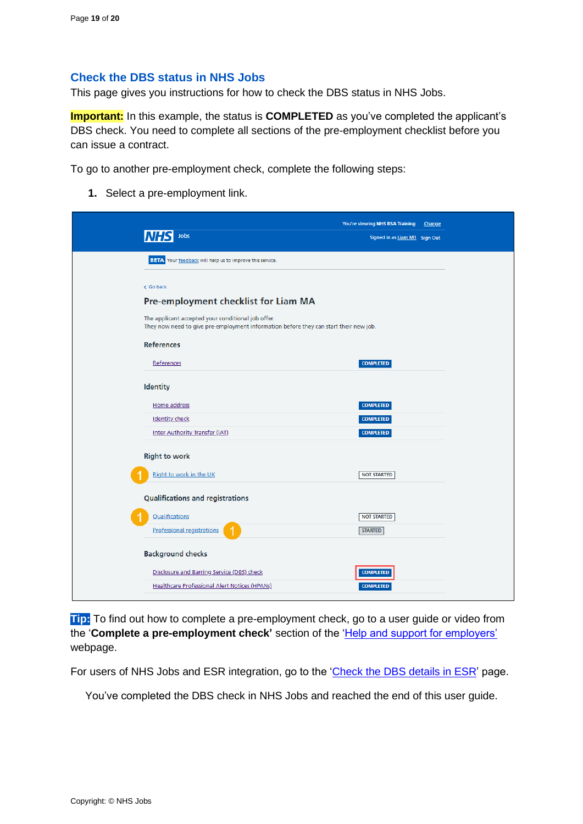#### <span id="page-18-0"></span>**Check the DBS status in NHS Jobs**

This page gives you instructions for how to check the DBS status in NHS Jobs.

**Important:** In this example, the status is **COMPLETED** as you've completed the applicant's DBS check. You need to complete all sections of the pre-employment checklist before you can issue a contract.

To go to another pre-employment check, complete the following steps:

**1.** Select a pre-employment link.

| Jobs<br>Signed in as Liam M1 Sign Out<br>BETA Your feedback will help us to improve this service.<br>< Go back<br>Pre-employment checklist for Liam MA<br>The applicant accepted your conditional job offer.<br>They now need to give pre-employment information before they can start their new job.<br><b>References</b><br>References<br><b>COMPLETED</b><br><b>Identity</b><br>Home address<br><b>COMPLETED</b><br><b>Identity check</b><br><b>COMPLETED</b><br>Inter Authority Transfer (IAT)<br><b>COMPLETED</b><br><b>Right to work</b><br>Right to work in the UK<br><b>NOT STARTED</b><br><b>Qualifications and registrations</b><br>Qualifications<br><b>NOT STARTED</b><br><b>Professional registrations</b><br><b>STARTED</b><br><b>Background checks</b><br>Disclosure and Barring Service (DBS) check<br><b>COMPLETED</b><br><b>Healthcare Professional Alert Notices (HPANs)</b><br><b>COMPLETED</b> | You're viewing NHS BSA Training Change |  |
|---------------------------------------------------------------------------------------------------------------------------------------------------------------------------------------------------------------------------------------------------------------------------------------------------------------------------------------------------------------------------------------------------------------------------------------------------------------------------------------------------------------------------------------------------------------------------------------------------------------------------------------------------------------------------------------------------------------------------------------------------------------------------------------------------------------------------------------------------------------------------------------------------------------------|----------------------------------------|--|
|                                                                                                                                                                                                                                                                                                                                                                                                                                                                                                                                                                                                                                                                                                                                                                                                                                                                                                                     |                                        |  |
|                                                                                                                                                                                                                                                                                                                                                                                                                                                                                                                                                                                                                                                                                                                                                                                                                                                                                                                     |                                        |  |
|                                                                                                                                                                                                                                                                                                                                                                                                                                                                                                                                                                                                                                                                                                                                                                                                                                                                                                                     |                                        |  |
|                                                                                                                                                                                                                                                                                                                                                                                                                                                                                                                                                                                                                                                                                                                                                                                                                                                                                                                     |                                        |  |
|                                                                                                                                                                                                                                                                                                                                                                                                                                                                                                                                                                                                                                                                                                                                                                                                                                                                                                                     |                                        |  |
|                                                                                                                                                                                                                                                                                                                                                                                                                                                                                                                                                                                                                                                                                                                                                                                                                                                                                                                     |                                        |  |
|                                                                                                                                                                                                                                                                                                                                                                                                                                                                                                                                                                                                                                                                                                                                                                                                                                                                                                                     |                                        |  |
|                                                                                                                                                                                                                                                                                                                                                                                                                                                                                                                                                                                                                                                                                                                                                                                                                                                                                                                     |                                        |  |
|                                                                                                                                                                                                                                                                                                                                                                                                                                                                                                                                                                                                                                                                                                                                                                                                                                                                                                                     |                                        |  |
|                                                                                                                                                                                                                                                                                                                                                                                                                                                                                                                                                                                                                                                                                                                                                                                                                                                                                                                     |                                        |  |
|                                                                                                                                                                                                                                                                                                                                                                                                                                                                                                                                                                                                                                                                                                                                                                                                                                                                                                                     |                                        |  |
|                                                                                                                                                                                                                                                                                                                                                                                                                                                                                                                                                                                                                                                                                                                                                                                                                                                                                                                     |                                        |  |
|                                                                                                                                                                                                                                                                                                                                                                                                                                                                                                                                                                                                                                                                                                                                                                                                                                                                                                                     |                                        |  |
|                                                                                                                                                                                                                                                                                                                                                                                                                                                                                                                                                                                                                                                                                                                                                                                                                                                                                                                     |                                        |  |
|                                                                                                                                                                                                                                                                                                                                                                                                                                                                                                                                                                                                                                                                                                                                                                                                                                                                                                                     |                                        |  |
|                                                                                                                                                                                                                                                                                                                                                                                                                                                                                                                                                                                                                                                                                                                                                                                                                                                                                                                     |                                        |  |
|                                                                                                                                                                                                                                                                                                                                                                                                                                                                                                                                                                                                                                                                                                                                                                                                                                                                                                                     |                                        |  |
|                                                                                                                                                                                                                                                                                                                                                                                                                                                                                                                                                                                                                                                                                                                                                                                                                                                                                                                     |                                        |  |
|                                                                                                                                                                                                                                                                                                                                                                                                                                                                                                                                                                                                                                                                                                                                                                                                                                                                                                                     |                                        |  |
|                                                                                                                                                                                                                                                                                                                                                                                                                                                                                                                                                                                                                                                                                                                                                                                                                                                                                                                     |                                        |  |

**Tip:** To find out how to complete a pre-employment check, go to a user guide or video from the '**Complete a pre-employment check'** section of the ['Help and support for employers'](https://www.nhsbsa.nhs.uk/new-nhs-jobs-service/help-and-support-employers) webpage.

For users of NHS Jobs and ESR integration, go to the ['Check the DBS](#page-19-0) details in ESR' page.

You've completed the DBS check in NHS Jobs and reached the end of this user guide.